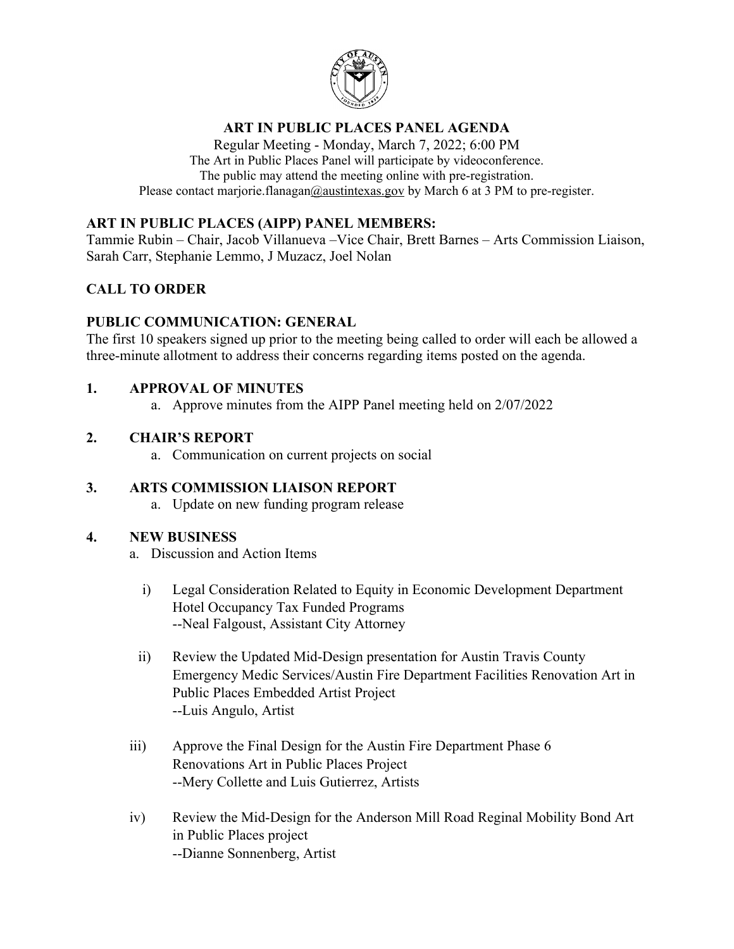

# **ART IN PUBLIC PLACES PANEL AGENDA**

Regular Meeting - Monday, March 7, 2022; 6:00 PM The Art in Public Places Panel will participate by videoconference. The public may attend the meeting online with pre-registration. Please contact marjorie.flanaga[n@austintexas.gov](mailto:mariateresa.bonet@austintexas.gov) by March 6 at 3 PM to pre-register.

### **ART IN PUBLIC PLACES (AIPP) PANEL MEMBERS:**

Tammie Rubin – Chair, Jacob Villanueva –Vice Chair, Brett Barnes – Arts Commission Liaison, Sarah Carr, Stephanie Lemmo, J Muzacz, Joel Nolan

# **CALL TO ORDER**

### **PUBLIC COMMUNICATION: GENERAL**

The first 10 speakers signed up prior to the meeting being called to order will each be allowed a three-minute allotment to address their concerns regarding items posted on the agenda.

# **1. APPROVAL OF MINUTES**

a. Approve minutes from the AIPP Panel meeting held on 2/07/2022

# **2. CHAIR'S REPORT**

a. Communication on current projects on social

# **3. ARTS COMMISSION LIAISON REPORT**

a. Update on new funding program release

### **4. NEW BUSINESS**

- a. Discussion and Action Items
	- i) Legal Consideration Related to Equity in Economic Development Department Hotel Occupancy Tax Funded Programs --Neal Falgoust, Assistant City Attorney
- ii) Review the Updated Mid-Design presentation for Austin Travis County Emergency Medic Services/Austin Fire Department Facilities Renovation Art in Public Places Embedded Artist Project --Luis Angulo, Artist
- iii) Approve the Final Design for the Austin Fire Department Phase 6 Renovations Art in Public Places Project --Mery Collette and Luis Gutierrez, Artists
- iv) Review the Mid-Design for the Anderson Mill Road Reginal Mobility Bond Art in Public Places project --Dianne Sonnenberg, Artist